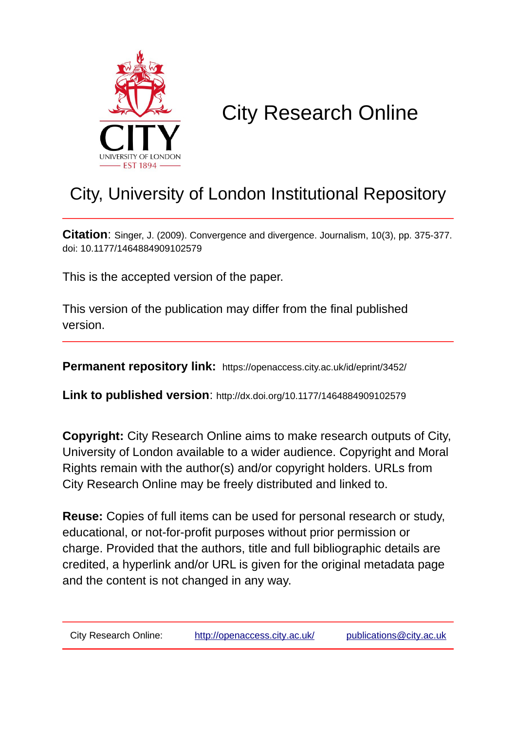

# City Research Online

# City, University of London Institutional Repository

**Citation**: Singer, J. (2009). Convergence and divergence. Journalism, 10(3), pp. 375-377. doi: 10.1177/1464884909102579

This is the accepted version of the paper.

This version of the publication may differ from the final published version.

**Permanent repository link:** https://openaccess.city.ac.uk/id/eprint/3452/

**Link to published version**: http://dx.doi.org/10.1177/1464884909102579

**Copyright:** City Research Online aims to make research outputs of City, University of London available to a wider audience. Copyright and Moral Rights remain with the author(s) and/or copyright holders. URLs from City Research Online may be freely distributed and linked to.

**Reuse:** Copies of full items can be used for personal research or study, educational, or not-for-profit purposes without prior permission or charge. Provided that the authors, title and full bibliographic details are credited, a hyperlink and/or URL is given for the original metadata page and the content is not changed in any way.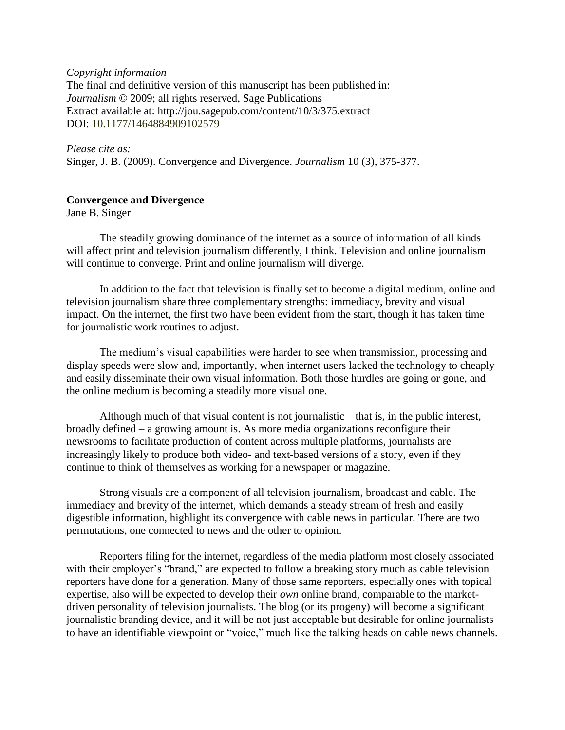#### *Copyright information*

The final and definitive version of this manuscript has been published in: *Journalism* © 2009; all rights reserved, Sage Publications Extract available at: http://jou.sagepub.com/content/10/3/375.extract DOI: 10.1177/1464884909102579

## *Please cite as:*

Singer, J. B. (2009). Convergence and Divergence. *Journalism* 10 (3), 375-377.

### **Convergence and Divergence**

Jane B. Singer

The steadily growing dominance of the internet as a source of information of all kinds will affect print and television journalism differently, I think. Television and online journalism will continue to converge. Print and online journalism will diverge.

In addition to the fact that television is finally set to become a digital medium, online and television journalism share three complementary strengths: immediacy, brevity and visual impact. On the internet, the first two have been evident from the start, though it has taken time for journalistic work routines to adjust.

The medium's visual capabilities were harder to see when transmission, processing and display speeds were slow and, importantly, when internet users lacked the technology to cheaply and easily disseminate their own visual information. Both those hurdles are going or gone, and the online medium is becoming a steadily more visual one.

Although much of that visual content is not journalistic – that is, in the public interest, broadly defined – a growing amount is. As more media organizations reconfigure their newsrooms to facilitate production of content across multiple platforms, journalists are increasingly likely to produce both video- and text-based versions of a story, even if they continue to think of themselves as working for a newspaper or magazine.

Strong visuals are a component of all television journalism, broadcast and cable. The immediacy and brevity of the internet, which demands a steady stream of fresh and easily digestible information, highlight its convergence with cable news in particular. There are two permutations, one connected to news and the other to opinion.

Reporters filing for the internet, regardless of the media platform most closely associated with their employer's "brand," are expected to follow a breaking story much as cable television reporters have done for a generation. Many of those same reporters, especially ones with topical expertise, also will be expected to develop their *own* online brand, comparable to the marketdriven personality of television journalists. The blog (or its progeny) will become a significant journalistic branding device, and it will be not just acceptable but desirable for online journalists to have an identifiable viewpoint or "voice," much like the talking heads on cable news channels.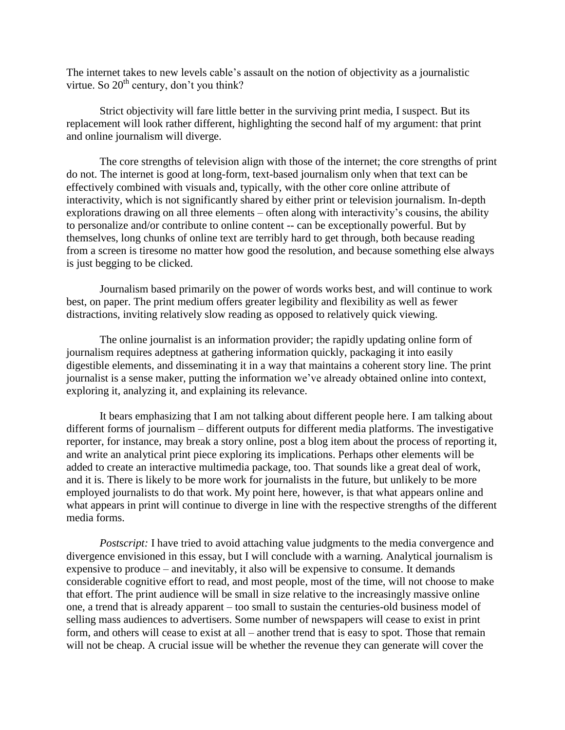The internet takes to new levels cable's assault on the notion of objectivity as a journalistic virtue. So  $20<sup>th</sup>$  century, don't you think?

Strict objectivity will fare little better in the surviving print media, I suspect. But its replacement will look rather different, highlighting the second half of my argument: that print and online journalism will diverge.

The core strengths of television align with those of the internet; the core strengths of print do not. The internet is good at long-form, text-based journalism only when that text can be effectively combined with visuals and, typically, with the other core online attribute of interactivity, which is not significantly shared by either print or television journalism. In-depth explorations drawing on all three elements – often along with interactivity's cousins, the ability to personalize and/or contribute to online content -- can be exceptionally powerful. But by themselves, long chunks of online text are terribly hard to get through, both because reading from a screen is tiresome no matter how good the resolution, and because something else always is just begging to be clicked.

Journalism based primarily on the power of words works best, and will continue to work best, on paper. The print medium offers greater legibility and flexibility as well as fewer distractions, inviting relatively slow reading as opposed to relatively quick viewing.

The online journalist is an information provider; the rapidly updating online form of journalism requires adeptness at gathering information quickly, packaging it into easily digestible elements, and disseminating it in a way that maintains a coherent story line. The print journalist is a sense maker, putting the information we've already obtained online into context, exploring it, analyzing it, and explaining its relevance.

It bears emphasizing that I am not talking about different people here. I am talking about different forms of journalism – different outputs for different media platforms. The investigative reporter, for instance, may break a story online, post a blog item about the process of reporting it, and write an analytical print piece exploring its implications. Perhaps other elements will be added to create an interactive multimedia package, too. That sounds like a great deal of work, and it is. There is likely to be more work for journalists in the future, but unlikely to be more employed journalists to do that work. My point here, however, is that what appears online and what appears in print will continue to diverge in line with the respective strengths of the different media forms.

*Postscript:* I have tried to avoid attaching value judgments to the media convergence and divergence envisioned in this essay, but I will conclude with a warning. Analytical journalism is expensive to produce – and inevitably, it also will be expensive to consume. It demands considerable cognitive effort to read, and most people, most of the time, will not choose to make that effort. The print audience will be small in size relative to the increasingly massive online one, a trend that is already apparent – too small to sustain the centuries-old business model of selling mass audiences to advertisers. Some number of newspapers will cease to exist in print form, and others will cease to exist at all – another trend that is easy to spot. Those that remain will not be cheap. A crucial issue will be whether the revenue they can generate will cover the